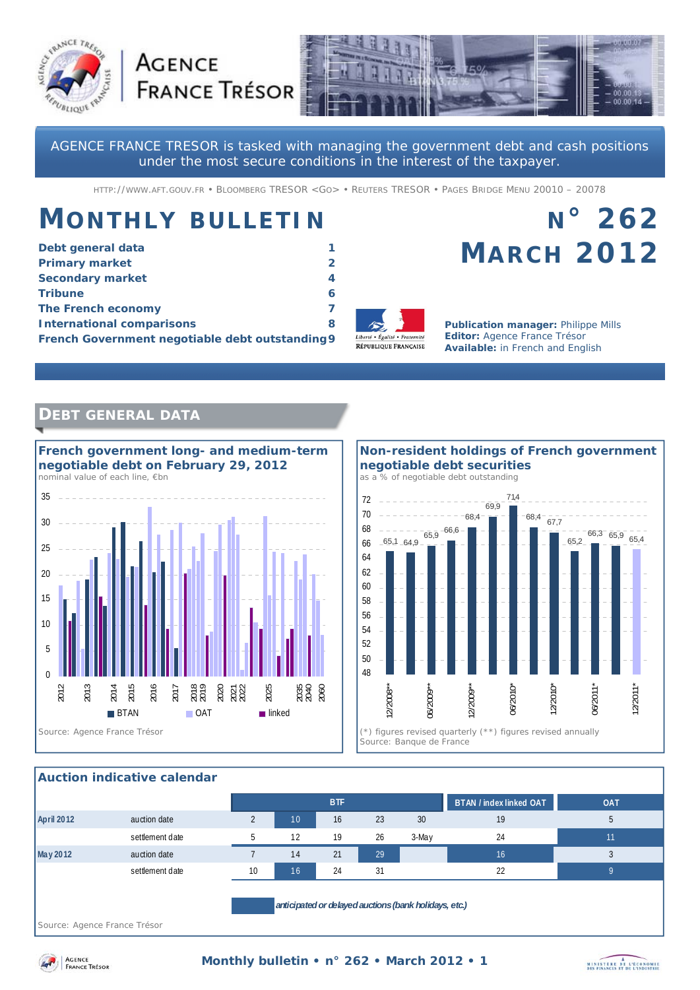



AGENCE FRANCE TRESOR is tasked with managing the government debt and cash positions under the most secure conditions in the interest of the taxpayer.

HTTP://WWW.AFT.GOUV.FR • BLOOMBERG TRESOR <GO> • REUTERS TRESOR • PAGES BRIDGE MENU 20010 – 20078

# **MONTHLY BULLETIN**

**AGENCE** 

| Debt general data                               |   |
|-------------------------------------------------|---|
| <b>Primary market</b>                           |   |
| <b>Secondary market</b>                         | 4 |
| <b>Tribune</b>                                  |   |
| The French economy                              |   |
| <b>International comparisons</b>                | 8 |
| French Government negotiable debt outstanding 9 |   |



**Publication manager:** Philippe Mills **Editor:** Agence France Trésor **Available:** in French and English

**MARCH 2012**

**N° 262** 

# **DEBT GENERAL DATA**



**Non-resident holdings of French government negotiable debt securities**  *as a % of negotiable debt outstanding* 



### **Auction indicative calendar**

|                                                                                       |                 |    |    | <b>BTF</b> |    |       | <b>BTAN / index linked OAT</b> | <b>OAT</b> |
|---------------------------------------------------------------------------------------|-----------------|----|----|------------|----|-------|--------------------------------|------------|
| <b>April 2012</b>                                                                     | auction date    |    | 10 | 16         | 23 | 30    | 19                             | G          |
|                                                                                       | settlement date |    | 12 | 19         | 26 | 3-May | 24                             | 11         |
| May 2012                                                                              | auction date    |    | 14 | 21         | 29 |       | 16                             |            |
|                                                                                       | settlement date | 10 | 16 | 24         | 31 |       | 22                             |            |
| anticipated or delayed auctions (bank holidays, etc.)<br>Source: Agence France Trésor |                 |    |    |            |    |       |                                |            |



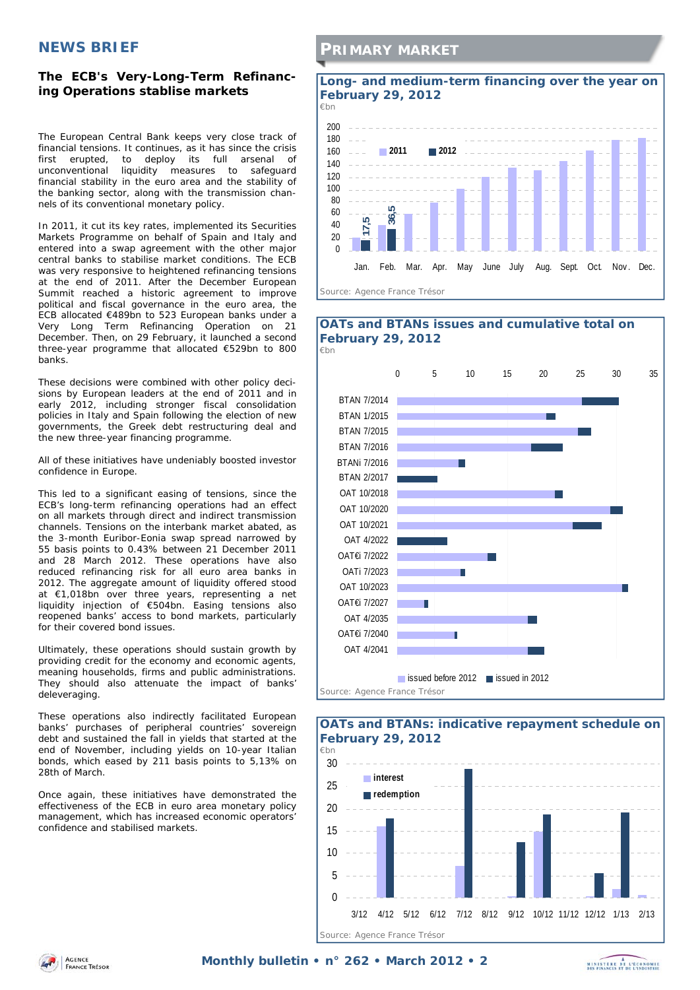## **NEWS BRIEF**

### **The ECB's Very-Long-Term Refinancing Operations stablise markets**

The European Central Bank keeps very close track of financial tensions. It continues, as it has since the crisis first erupted, to deploy its full arsenal of unconventional liquidity measures to safeguard financial stability in the euro area and the stability of the banking sector, along with the transmission channels of its conventional monetary policy.

In 2011, it cut its key rates, implemented its Securities Markets Programme on behalf of Spain and Italy and entered into a swap agreement with the other major central banks to stabilise market conditions. The ECB was very responsive to heightened refinancing tensions at the end of 2011. After the December European Summit reached a historic agreement to improve political and fiscal governance in the euro area, the ECB allocated €489bn to 523 European banks under a Very Long Term Refinancing Operation on 21 December. Then, on 29 February, it launched a second three-year programme that allocated €529bn to 800 banks.

These decisions were combined with other policy decisions by European leaders at the end of 2011 and in early 2012, including stronger fiscal consolidation policies in Italy and Spain following the election of new governments, the Greek debt restructuring deal and the new three-year financing programme.

All of these initiatives have undeniably boosted investor confidence in Europe.

This led to a significant easing of tensions, since the ECB's long-term refinancing operations had an effect on all markets through direct and indirect transmission channels. Tensions on the interbank market abated, as the 3-month Euribor-Eonia swap spread narrowed by 55 basis points to 0.43% between 21 December 2011 and 28 March 2012. These operations have also reduced refinancing risk for all euro area banks in 2012. The aggregate amount of liquidity offered stood at €1,018bn over three years, representing a net liquidity injection of €504bn. Easing tensions also reopened banks' access to bond markets, particularly for their covered bond issues.

Ultimately, these operations should sustain growth by providing credit for the economy and economic agents, meaning households, firms and public administrations. They should also attenuate the impact of banks' deleveraging.

These operations also indirectly facilitated European banks' purchases of peripheral countries' sovereign debt and sustained the fall in yields that started at the end of November, including yields on 10-year Italian bonds, which eased by 211 basis points to 5,13% on 28th of March.

Once again, these initiatives have demonstrated the effectiveness of the ECB in euro area monetary policy management, which has increased economic operators' confidence and stabilised markets.

## **PRIMARY MARKET**

### **Long- and medium-term financing over the year on February 29, 2012**







AGENCE **FRANCE TRESOR** 

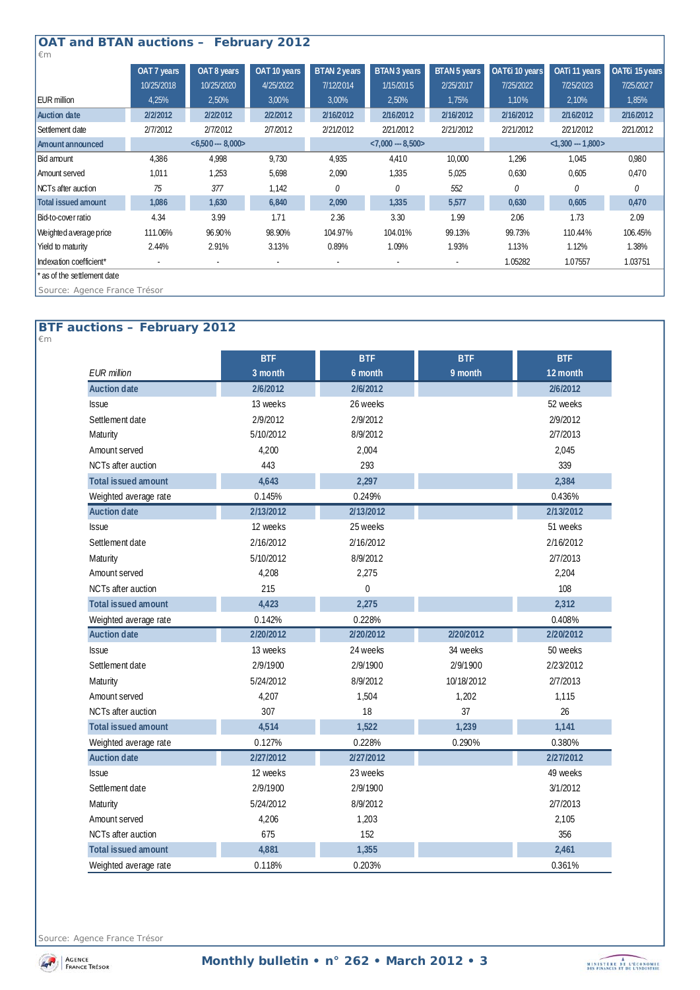| <b>OAT and BTAN auctions - February 2012</b> |                  |             |              |                          |                     |              |                  |               |                |
|----------------------------------------------|------------------|-------------|--------------|--------------------------|---------------------|--------------|------------------|---------------|----------------|
| $\epsilon$ m                                 |                  |             |              |                          |                     |              |                  |               |                |
|                                              | OAT 7 years      | OAT 8 years | OAT 10 years | <b>BTAN 2 years</b>      | <b>BTAN 3 years</b> | BTAN 5 years | OAT€i 10 years   | OATi 11 years | OAT€i 15 years |
|                                              | 10/25/2018       | 10/25/2020  | 4/25/2022    | 7/12/2014                | 1/15/2015           | 2/25/2017    | 7/25/2022        | 7/25/2023     | 7/25/2027      |
| <b>EUR million</b>                           | 4,25%            | 2,50%       | 3,00%        | 3,00%                    | 2,50%               | 1,75%        | 1,10%            | 2,10%         | 1,85%          |
| <b>Auction date</b>                          | 2/2/2012         | 2/2/2012    | 2/2/2012     | 2/16/2012                | 2/16/2012           | 2/16/2012    | 2/16/2012        | 2/16/2012     | 2/16/2012      |
| Settlement date                              | 2/7/2012         | 2/7/2012    | 2/7/2012     | 2/21/2012                | 2/21/2012           | 2/21/2012    | 2/21/2012        | 2/21/2012     | 2/21/2012      |
| <b>Amount announced</b>                      | $<6,500--8,000>$ |             |              | $< 7,000 - 8,500 >$      |                     |              | $<1,300 - 1,800$ |               |                |
| Bid amount                                   | 4,386            | 4,998       | 9,730        | 4,935                    | 4,410               | 10,000       | 1,296            | 1,045         | 0,980          |
| Amount served                                | 1,011            | 1,253       | 5,698        | 2,090                    | 1,335               | 5,025        | 0,630            | 0,605         | 0,470          |
| NCTs after auction                           | 75               | 377         | 1,142        | 0                        | 0                   | 552          | 0                | $\Omega$      | 0              |
| <b>Total issued amount</b>                   | 1,086            | 1,630       | 6,840        | 2,090                    | 1,335               | 5,577        | 0,630            | 0,605         | 0,470          |
| Bid-to-cover ratio                           | 4.34             | 3.99        | 1.71         | 2.36                     | 3.30                | 1.99         | 2.06             | 1.73          | 2.09           |
| Weighted average price                       | 111.06%          | 96.90%      | 98.90%       | 104.97%                  | 104.01%             | 99.13%       | 99.73%           | 110.44%       | 106.45%        |
| Yield to maturity                            | 2.44%            | 2.91%       | 3.13%        | 0.89%                    | 1.09%               | 1.93%        | 1.13%            | 1.12%         | 1.38%          |
| Indexation coefficient*                      |                  | ٠           |              | $\overline{\phantom{a}}$ | ٠                   | $\sim$       | 1.05282          | 1.07557       | 1.03751        |
| ' as of the settlement date                  |                  |             |              |                          |                     |              |                  |               |                |
| Source: Agence France Trésor                 |                  |             |              |                          |                     |              |                  |               |                |

### **BTF auctions – February 2012**  *€m*

|                            | <b>BTF</b> | <b>BTF</b>     | <b>BTF</b> | <b>BTF</b> |
|----------------------------|------------|----------------|------------|------------|
| <b>EUR</b> million         | 3 month    | 6 month        | 9 month    | 12 month   |
| <b>Auction date</b>        | 2/6/2012   | 2/6/2012       |            | 2/6/2012   |
| <b>Issue</b>               | 13 weeks   | 26 weeks       |            | 52 weeks   |
| Settlement date            | 2/9/2012   | 2/9/2012       |            | 2/9/2012   |
| Maturity                   | 5/10/2012  | 8/9/2012       |            | 2/7/2013   |
| Amount served              | 4,200      | 2,004          |            | 2.045      |
| NCTs after auction         | 443        | 293            |            | 339        |
| <b>Total issued amount</b> | 4,643      | 2,297          |            | 2,384      |
| Weighted average rate      | 0.145%     | 0.249%         |            | 0.436%     |
| <b>Auction date</b>        | 2/13/2012  | 2/13/2012      |            | 2/13/2012  |
| <b>Issue</b>               | 12 weeks   | 25 weeks       |            | 51 weeks   |
| Settlement date            | 2/16/2012  | 2/16/2012      |            | 2/16/2012  |
| Maturity                   | 5/10/2012  | 8/9/2012       |            | 2/7/2013   |
| Amount served              | 4,208      | 2,275          |            | 2,204      |
| <b>NCTs after auction</b>  | 215        | $\overline{0}$ |            | 108        |
| <b>Total issued amount</b> | 4,423      | 2,275          |            | 2,312      |
| Weighted average rate      | 0.142%     | 0.228%         |            | 0.408%     |
| <b>Auction date</b>        | 2/20/2012  | 2/20/2012      | 2/20/2012  | 2/20/2012  |
| <b>Issue</b>               | 13 weeks   | 24 weeks       | 34 weeks   | 50 weeks   |
| Settlement date            | 2/9/1900   | 2/9/1900       | 2/9/1900   | 2/23/2012  |
| Maturity                   | 5/24/2012  | 8/9/2012       | 10/18/2012 | 2/7/2013   |
| Amount served              | 4,207      | 1,504          | 1,202      | 1,115      |
| <b>NCTs after auction</b>  | 307        | 18             | 37         | 26         |
| <b>Total issued amount</b> | 4,514      | 1,522          | 1,239      | 1,141      |
| Weighted average rate      | 0.127%     | 0.228%         | 0.290%     | 0.380%     |
| <b>Auction date</b>        | 2/27/2012  | 2/27/2012      |            | 2/27/2012  |
| <b>Issue</b>               | 12 weeks   | 23 weeks       |            | 49 weeks   |
| Settlement date            | 2/9/1900   | 2/9/1900       |            | 3/1/2012   |
| Maturity                   | 5/24/2012  | 8/9/2012       |            | 2/7/2013   |
| Amount served              | 4,206      | 1,203          |            | 2,105      |
| <b>NCTs after auction</b>  | 675        | 152            |            | 356        |
| <b>Total issued amount</b> | 4,881      | 1,355          |            | 2,461      |
| Weighted average rate      | 0.118%     | 0.203%         |            | 0.361%     |

*Source: Agence France Trésor* 

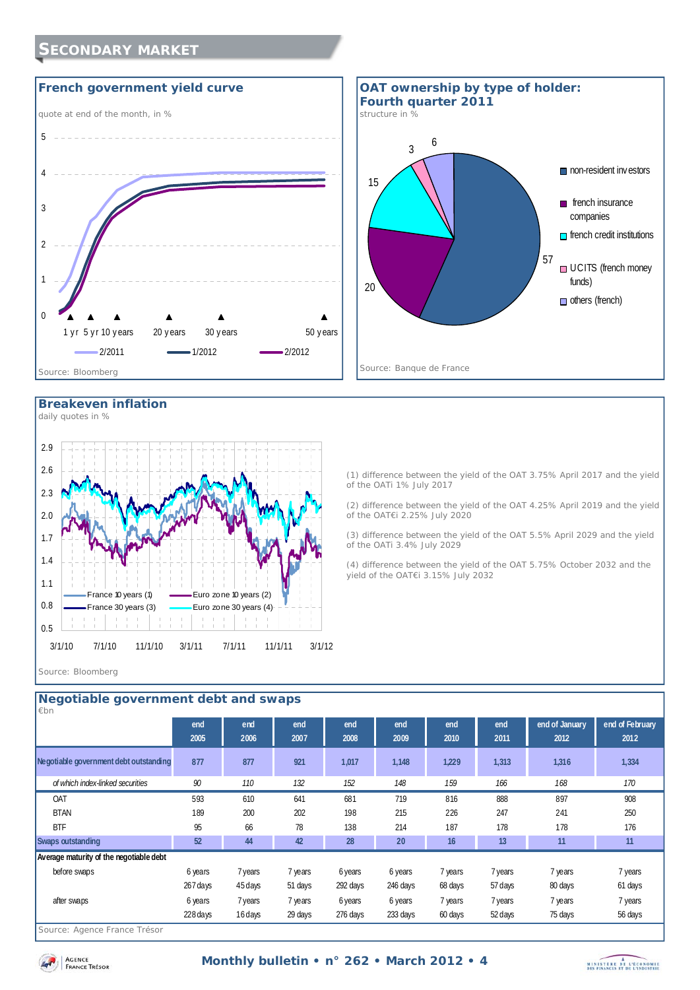# **SECONDARY MARKET**





### **Breakeven inflation**



(1) difference between the yield of the OAT 3.75% April 2017 and the yield of the OATi 1% July 2017 (2) difference between the yield of the OAT 4.25% April 2019 and the yield

of the OAT€i 2.25% July 2020

(3) difference between the yield of the OAT 5.5% April 2029 and the yield of the OATi 3.4% July 2029

(4) difference between the yield of the OAT 5.75% October 2032 and the yield of the OAT€i 3.15% July 2032

#### *Source: Bloomberg*

| $\not\varepsilon$ bn                    | Negotiable government debt and swaps |             |             |             |             |             |             |                        |                         |
|-----------------------------------------|--------------------------------------|-------------|-------------|-------------|-------------|-------------|-------------|------------------------|-------------------------|
|                                         | end<br>2005                          | end<br>2006 | end<br>2007 | end<br>2008 | end<br>2009 | end<br>2010 | end<br>2011 | end of January<br>2012 | end of February<br>2012 |
| Negotiable government debt outstanding  | 877                                  | 877         | 921         | 1,017       | 1,148       | 1,229       | 1,313       | 1,316                  | 1,334                   |
| of which index-linked securities        | 90                                   | 110         | 132         | 152         | 148         | 159         | 166         | 168                    | 170                     |
| OAT                                     | 593                                  | 610         | 641         | 681         | 719         | 816         | 888         | 897                    | 908                     |
| <b>BTAN</b>                             | 189                                  | 200         | 202         | 198         | 215         | 226         | 247         | 241                    | 250                     |
| <b>BTF</b>                              | 95                                   | 66          | 78          | 138         | 214         | 187         | 178         | 178                    | 176                     |
| <b>Swaps outstanding</b>                | 52                                   | 44          | 42          | 28          | 20          | 16          | 13          | 11                     | 11                      |
| Average maturity of the negotiable debt |                                      |             |             |             |             |             |             |                        |                         |
| before swaps                            | 6 years                              | 7 years     | 7 years     | 6 years     | 6 years     | 7 years     | 7 years     | 7 years                | 7 years                 |
|                                         | 267 days                             | 45 days     | 51 days     | 292 days    | 246 days    | 68 days     | 57 days     | 80 days                | 61 days                 |
| after swaps                             | 6 years                              | 7 years     | 7 years     | 6 years     | 6 years     | 7 years     | 7 years     | 7 years                | 7 years                 |
| $\sim$<br>$\sim$<br>$ -$                | 228 days                             | 16 days     | 29 days     | 276 days    | 233 days    | 60 days     | 52 days     | 75 days                | 56 days                 |

#### *Source: Agence France Trésor*

AGENCE **FRANCE** TRESOR

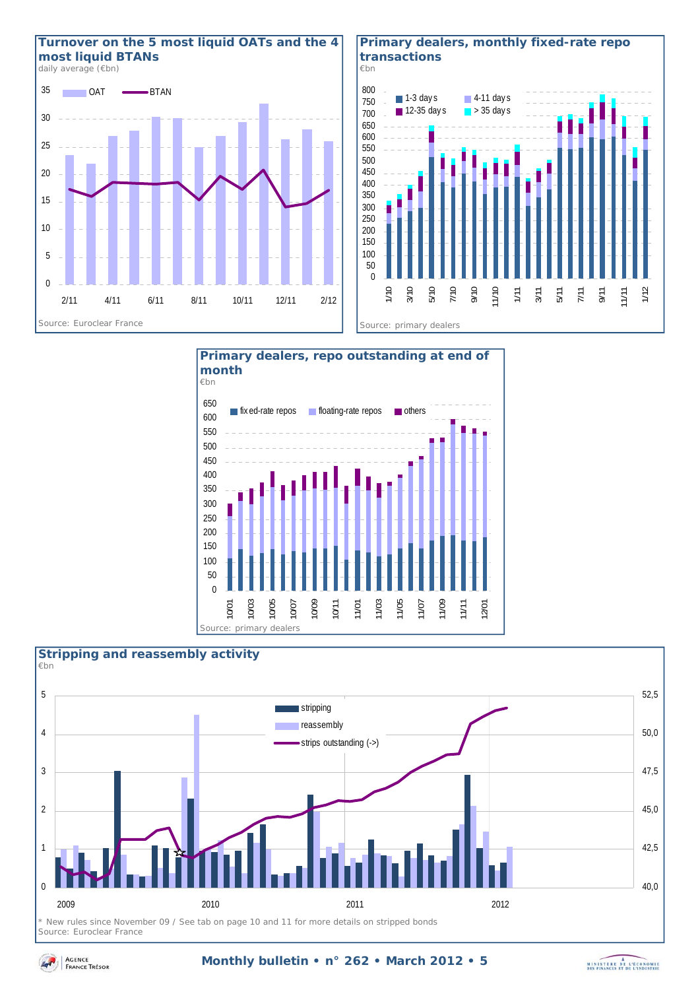

**Primary dealers, monthly fixed-rate repo transactions** 

![](_page_4_Figure_2.jpeg)

![](_page_4_Figure_3.jpeg)

![](_page_4_Figure_4.jpeg)

*Source: Euroclear France* 

![](_page_4_Picture_8.jpeg)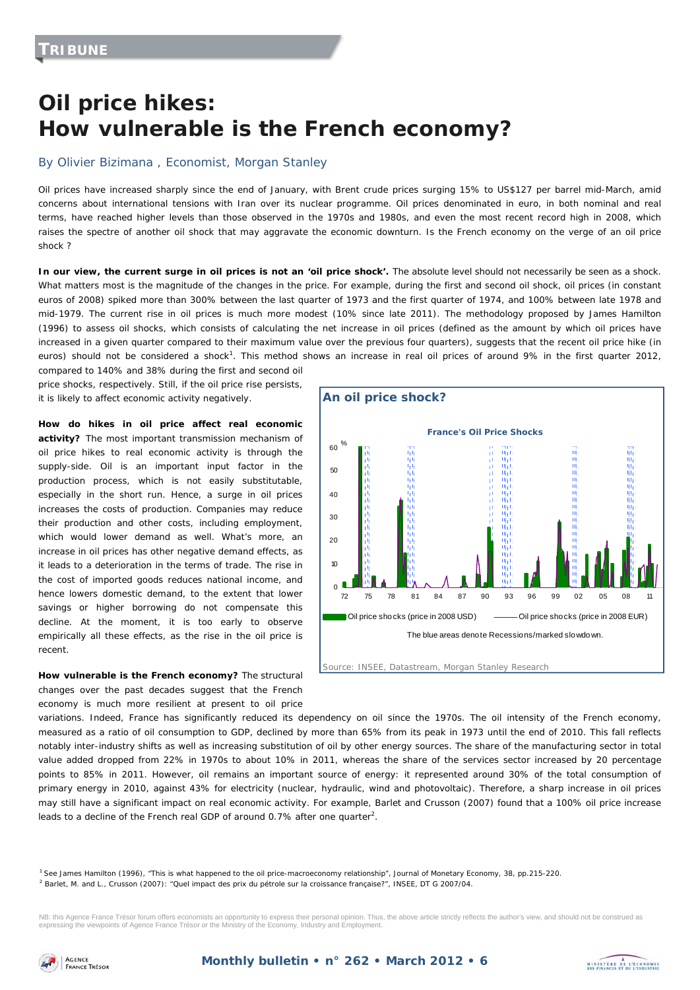# **Oil price hikes: How vulnerable is the French economy?**

### By Olivier Bizimana , Economist, Morgan Stanley

Oil prices have increased sharply since the end of January, with Brent crude prices surging 15% to US\$127 per barrel mid-March, amid concerns about international tensions with Iran over its nuclear programme. Oil prices denominated in euro, in both nominal and real terms, have reached higher levels than those observed in the 1970s and 1980s, and even the most recent record high in 2008, which raises the spectre of another oil shock that may aggravate the economic downturn. Is the French economy on the verge of an oil price shock ?

In our view, the current surge in oil prices is not an 'oil price shock'. The absolute level should not necessarily be seen as a shock. What matters most is the magnitude of the changes in the price. For example, during the first and second oil shock, oil prices (in constant euros of 2008) spiked more than 300% between the last quarter of 1973 and the first quarter of 1974, and 100% between late 1978 and mid-1979. The current rise in oil prices is much more modest (10% since late 2011). The methodology proposed by James Hamilton (1996) to assess oil shocks, which consists of calculating the net increase in oil prices (defined as the amount by which oil prices have increased in a given quarter compared to their maximum value over the previous four quarters), suggests that the recent oil price hike (in euros) should not be considered a shock<sup>1</sup>. This method shows an increase in real oil prices of around 9% in the first quarter 2012,

compared to 140% and 38% during the first and second oil price shocks, respectively. Still, if the oil price rise persists, it is likely to affect economic activity negatively.

**How do hikes in oil price affect real economic activity?** The most important transmission mechanism of oil price hikes to real economic activity is through the supply-side. Oil is an important input factor in the production process, which is not easily substitutable, especially in the short run. Hence, a surge in oil prices increases the costs of production. Companies may reduce their production and other costs, including employment, which would lower demand as well. What's more, an increase in oil prices has other negative demand effects, as it leads to a deterioration in the terms of trade. The rise in the cost of imported goods reduces national income, and hence lowers domestic demand, to the extent that lower savings or higher borrowing do not compensate this decline. At the moment, it is too early to observe empirically all these effects, as the rise in the oil price is recent.

**How vulnerable is the French economy?** The structural changes over the past decades suggest that the French economy is much more resilient at present to oil price

![](_page_5_Figure_8.jpeg)

![](_page_5_Figure_9.jpeg)

variations. Indeed, France has significantly reduced its dependency on oil since the 1970s. The oil intensity of the French economy, measured as a ratio of oil consumption to GDP, declined by more than 65% from its peak in 1973 until the end of 2010. This fall reflects notably inter-industry shifts as well as increasing substitution of oil by other energy sources. The share of the manufacturing sector in total value added dropped from 22% in 1970s to about 10% in 2011, whereas the share of the services sector increased by 20 percentage points to 85% in 2011. However, oil remains an important source of energy: it represented around 30% of the total consumption of primary energy in 2010, against 43% for electricity (nuclear, hydraulic, wind and photovoltaic). Therefore, a sharp increase in oil prices may still have a significant impact on real economic activity. For example, Barlet and Crusson (2007) found that a 100% oil price increase leads to a decline of the French real GDP of around 0.7% after one quarter<sup>2</sup>.

1 See James Hamilton (1996), "This is what happened to the oil price-macroeconomy relationship", *Journal of Monetary Economy*, 38, pp.215-220.

<sup>2</sup> Barlet, M. and L., Crusson (2007): "Quel impact des prix du pétrole sur la croissance française?", INSEE, DT G 2007/04.

NB: this Agence France Trésor forum offers economists an opportunity to express their personal opinion. Thus, the above article strictly reflects the author's view, and should not be construed as expressing the viewpoints of Agence France Trésor or the Ministry of the Economy, Industry and Employment.

![](_page_5_Picture_14.jpeg)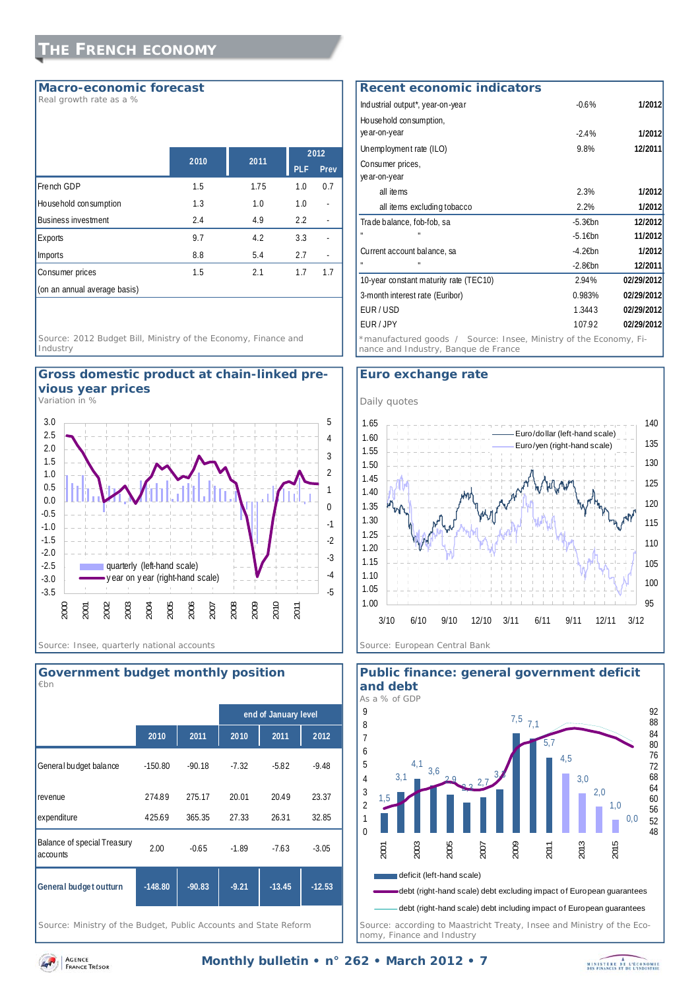### **Macro-economic forecast**

*Real growth rate as a %* 

|                              | 2010 | 2011 |            | 2012 |
|------------------------------|------|------|------------|------|
|                              |      |      | <b>PLF</b> | Prev |
| French GDP                   | 1.5  | 1.75 | 1.0        | 0.7  |
| House hold consumption       | 1.3  | 1.0  | 1.0        |      |
| <b>Business investment</b>   | 2.4  | 4.9  | 2.2        |      |
| Exports                      | 9.7  | 4.2  | 3.3        |      |
| <b>Imports</b>               | 8.8  | 5.4  | 2.7        |      |
| Consumer prices              | 1.5  | 2.1  | 1.7        | 1.7  |
| (on an annual average basis) |      |      |            |      |

*Source: 2012 Budget Bill, Ministry of the Economy, Finance and Industry* 

![](_page_6_Figure_5.jpeg)

*Variation in %* 

![](_page_6_Figure_7.jpeg)

![](_page_6_Figure_8.jpeg)

*Source: Ministry of the Budget, Public Accounts and State Reform* 

### Industrial output\*, year-on-year -0.6% **1/2012** Household consumption, year-on-year -2.4% **1/2012** Unemployment rate (ILO) 9.8% **12/2011** Consumer prices, year-on-year all items 2.3% **1/2012** all items excluding tobacco 2.2% **1/2012** Trade balance, fob-fob, sa **12/2012** -5.3€bn **12/2012** " " -5.1€bn **11/2012** Current account balance, sa **1/2012** -4.2€bn **1/2012** " " -2.8€bn **12/2011** 10-year constant maturity rate (TEC10) 2.94% **02/29/2012** 3-month interest rate (Euribor) 0.983% **02/29/2012** EUR / USD 1.3443 **02/29/2012** EUR / JPY 107.92 **02/29/2012 Recent economic indicators** *\**manufactured goods */ Source: Insee, Ministry of the Economy, Finance and Industry, Banque de France*

### **Euro exchange rate**

![](_page_6_Figure_12.jpeg)

![](_page_6_Figure_13.jpeg)

# **Public finance: general government deficit**

*nomy, Finance and Industry* 

![](_page_6_Picture_17.jpeg)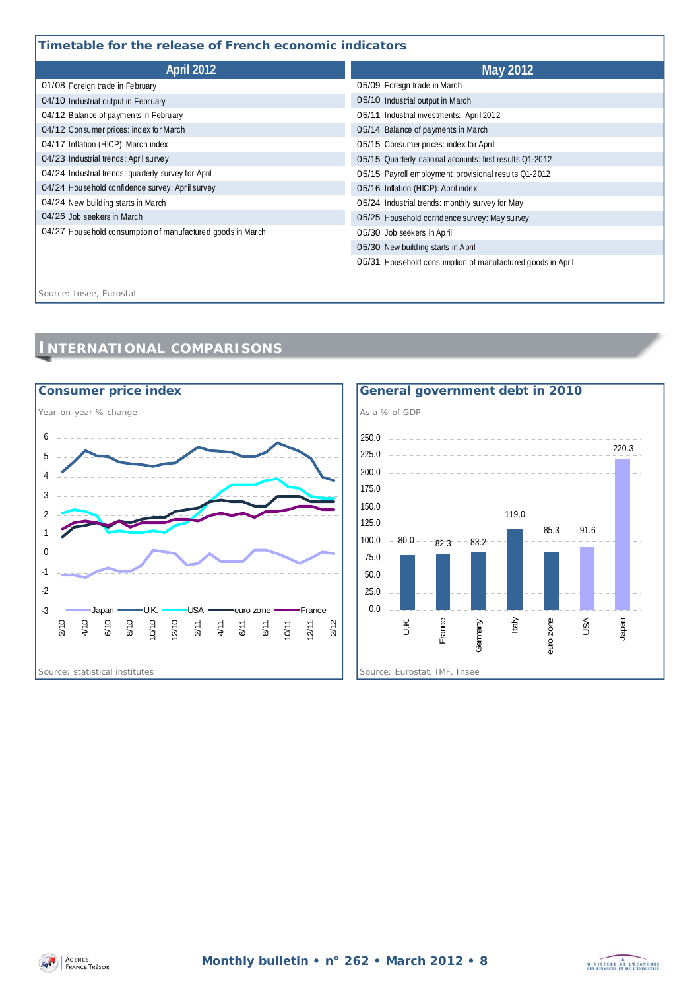# **Timetable for the release of French economic indicators**

| Timetable for the release of French economic indicators    |                                                            |  |  |  |
|------------------------------------------------------------|------------------------------------------------------------|--|--|--|
| <b>April 2012</b>                                          | <b>May 2012</b>                                            |  |  |  |
| 01/08 Foreign trade in February                            | 05/09 Foreign trade in March                               |  |  |  |
| 04/10 Industrial output in February                        | 05/10 Industrial output in March                           |  |  |  |
| 04/12 Balance of payments in February                      | 05/11 Industrial investments: April 2012                   |  |  |  |
| 04/12 Consumer prices: index for March                     | 05/14 Balance of payments in March                         |  |  |  |
| 04/17 Inflation (HICP): March index                        | 05/15 Consumer prices: index for April                     |  |  |  |
| 04/23 Industrial trends: April survey                      | 05/15 Quarterly national accounts: first results Q1-2012   |  |  |  |
| 04/24 Industrial trends: quarterly survey for April        | 05/15 Payroll employment: provisional results Q1-2012      |  |  |  |
| 04/24 Household confidence survey: April survey            | 05/16 Inflation (HICP): April index                        |  |  |  |
| 04/24 New building starts in March                         | 05/24 Industrial trends: monthly survey for May            |  |  |  |
| 04/26 Job seekers in March                                 | 05/25 Household confidence survey: May survey              |  |  |  |
| 04/27 Household consumption of manufactured goods in March | 05/30 Job seekers in April                                 |  |  |  |
|                                                            | 05/30 New building starts in April                         |  |  |  |
|                                                            | 05/31 Household consumption of manufactured goods in April |  |  |  |

*Source: Insee, Eurostat*

# **INTERNATIONAL COMPARISONS**

![](_page_7_Figure_4.jpeg)

![](_page_7_Figure_5.jpeg)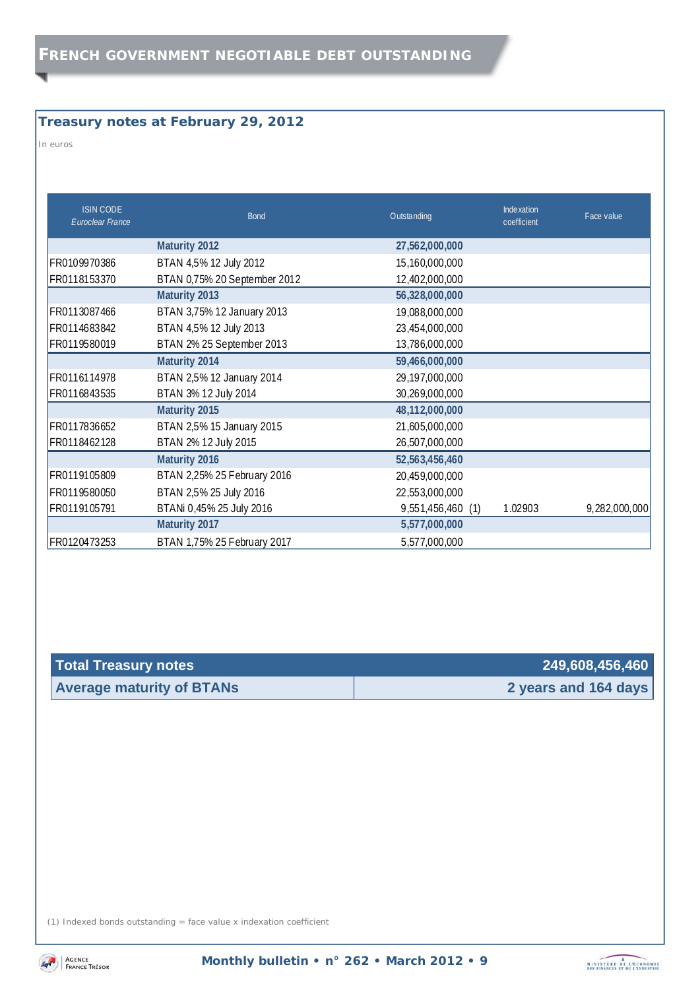# **Treasury notes at February 29, 2012**

*In euros* 

| <b>ISIN CODE</b><br>Euroclear France | <b>Bond</b>                  | Outstanding       | Inde xation<br>coefficient | Face value    |
|--------------------------------------|------------------------------|-------------------|----------------------------|---------------|
|                                      | Maturity 2012                | 27,562,000,000    |                            |               |
| FR0109970386                         | BTAN 4,5% 12 July 2012       | 15,160,000,000    |                            |               |
| FR0118153370                         | BTAN 0,75% 20 September 2012 | 12,402,000,000    |                            |               |
|                                      | Maturity 2013                | 56,328,000,000    |                            |               |
| FR0113087466                         | BTAN 3,75% 12 January 2013   | 19,088,000,000    |                            |               |
| FR0114683842                         | BTAN 4,5% 12 July 2013       | 23,454,000,000    |                            |               |
| FR0119580019                         | BTAN 2% 25 September 2013    | 13,786,000,000    |                            |               |
|                                      | Maturity 2014                | 59,466,000,000    |                            |               |
| FR0116114978                         | BTAN 2,5% 12 January 2014    | 29, 197, 000, 000 |                            |               |
| FR0116843535                         | BTAN 3% 12 July 2014         | 30,269,000,000    |                            |               |
|                                      | Maturity 2015                | 48,112,000,000    |                            |               |
| FR0117836652                         | BTAN 2,5% 15 January 2015    | 21,605,000,000    |                            |               |
| FR0118462128                         | BTAN 2% 12 July 2015         | 26,507,000,000    |                            |               |
|                                      | Maturity 2016                | 52,563,456,460    |                            |               |
| FR0119105809                         | BTAN 2,25% 25 February 2016  | 20,459,000,000    |                            |               |
| FR0119580050                         | BTAN 2,5% 25 July 2016       | 22,553,000,000    |                            |               |
| FR0119105791                         | BTANi 0,45% 25 July 2016     | 9,551,456,460 (1) | 1.02903                    | 9,282,000,000 |
|                                      | Maturity 2017                | 5,577,000,000     |                            |               |
| FR0120473253                         | BTAN 1,75% 25 February 2017  | 5,577,000,000     |                            |               |

| Total Treasury notes             | 249,608,456,460      |
|----------------------------------|----------------------|
| <b>Average maturity of BTANs</b> | 2 years and 164 days |

(1) Indexed bonds outstanding = face value x indexation coefficient

![](_page_8_Picture_6.jpeg)

![](_page_8_Picture_9.jpeg)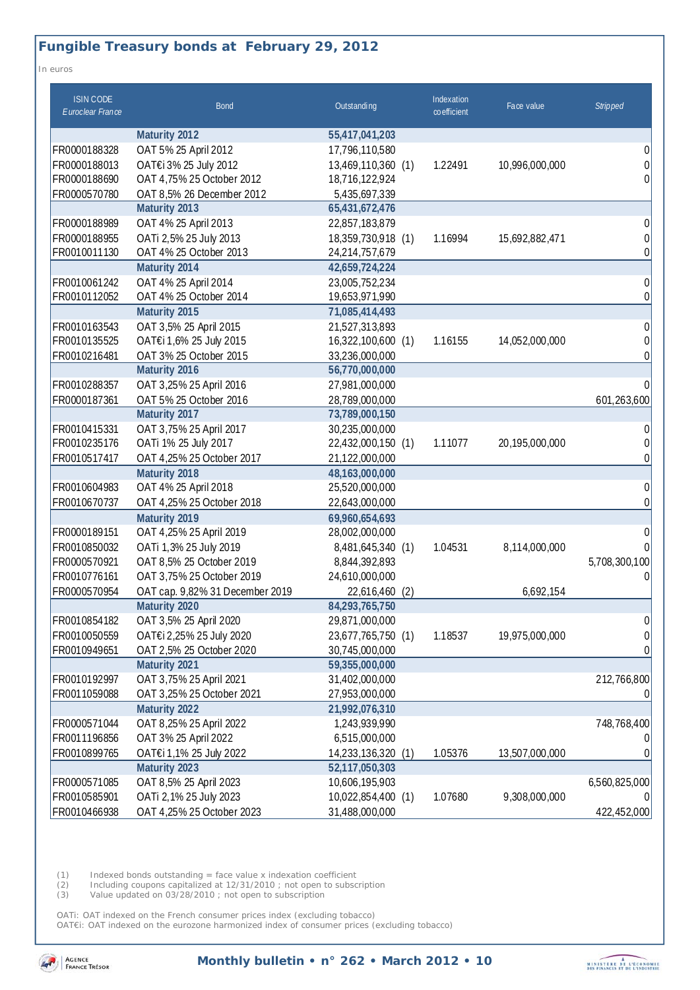# **Fungible Treasury bonds at February 29, 2012**

*In euros* 

| <b>ISIN CODE</b><br>Euroclear France | <b>Bond</b>                     | Outstanding           | Indexation<br>coefficient | Face value     | <b>Stripped</b> |
|--------------------------------------|---------------------------------|-----------------------|---------------------------|----------------|-----------------|
|                                      | <b>Maturity 2012</b>            | 55,417,041,203        |                           |                |                 |
| FR0000188328                         | OAT 5% 25 April 2012            | 17,796,110,580        |                           |                | 0               |
| FR0000188013                         | OAT€i 3% 25 July 2012           | 13,469,110,360 (1)    | 1.22491                   | 10,996,000,000 | 0               |
| FR0000188690                         | OAT 4,75% 25 October 2012       | 18,716,122,924        |                           |                | 0               |
| FR0000570780                         | OAT 8,5% 26 December 2012       | 5,435,697,339         |                           |                |                 |
|                                      | Maturity 2013                   | 65,431,672,476        |                           |                |                 |
| FR0000188989                         | OAT 4% 25 April 2013            | 22,857,183,879        |                           |                | 0               |
| FR0000188955                         | OATi 2,5% 25 July 2013          | 18,359,730,918 (1)    | 1.16994                   | 15,692,882,471 | 0               |
| FR0010011130                         | OAT 4% 25 October 2013          | 24,214,757,679        |                           |                | 0               |
|                                      | Maturity 2014                   | 42,659,724,224        |                           |                |                 |
| FR0010061242                         | OAT 4% 25 April 2014            | 23,005,752,234        |                           |                | 0               |
| FR0010112052                         | OAT 4% 25 October 2014          | 19,653,971,990        |                           |                | 0               |
|                                      | Maturity 2015                   | 71,085,414,493        |                           |                |                 |
| FR0010163543                         | OAT 3,5% 25 April 2015          | 21,527,313,893        |                           |                | 0               |
| FR0010135525                         | OAT€i 1,6% 25 July 2015         | 16,322,100,600 (1)    | 1.16155                   | 14,052,000,000 | 0               |
| FR0010216481                         | OAT 3% 25 October 2015          | 33,236,000,000        |                           |                | 0               |
|                                      | Maturity 2016                   | 56,770,000,000        |                           |                |                 |
| FR0010288357                         | OAT 3,25% 25 April 2016         | 27,981,000,000        |                           |                |                 |
| FR0000187361                         | OAT 5% 25 October 2016          | 28,789,000,000        |                           |                | 601,263,600     |
|                                      | Maturity 2017                   | 73,789,000,150        |                           |                |                 |
| FR0010415331                         | OAT 3,75% 25 April 2017         | 30,235,000,000        |                           |                |                 |
| FR0010235176                         | OATi 1% 25 July 2017            | 22,432,000,150 (1)    | 1.11077                   | 20,195,000,000 |                 |
| FR0010517417                         | OAT 4,25% 25 October 2017       | 21,122,000,000        |                           |                | 0               |
|                                      | Maturity 2018                   | 48,163,000,000        |                           |                |                 |
| FR0010604983                         | OAT 4% 25 April 2018            | 25,520,000,000        |                           |                | 0               |
| FR0010670737                         | OAT 4,25% 25 October 2018       | 22,643,000,000        |                           |                | $\Omega$        |
|                                      | Maturity 2019                   | 69,960,654,693        |                           |                |                 |
| FR0000189151                         | OAT 4,25% 25 April 2019         | 28,002,000,000        |                           |                | 0               |
| FR0010850032                         | OATi 1,3% 25 July 2019          | 8,481,645,340 (1)     | 1.04531                   | 8,114,000,000  |                 |
| FR0000570921                         | OAT 8,5% 25 October 2019        | 8,844,392,893         |                           |                | 5,708,300,100   |
| FR0010776161                         | OAT 3,75% 25 October 2019       | 24,610,000,000        |                           |                | 0               |
| FR0000570954                         | OAT cap. 9,82% 31 December 2019 | 22,616,460<br>(2)     |                           | 6,692,154      |                 |
|                                      | Maturity 2020                   | 84,293,765,750        |                           |                |                 |
| FR0010854182                         | OAT 3,5% 25 April 2020          | 29,871,000,000        |                           |                | 0               |
| FR0010050559                         | OAT€i 2,25% 25 July 2020        | 23,677,765,750 (1)    | 1.18537                   | 19,975,000,000 | 0               |
| FR0010949651                         | OAT 2,5% 25 October 2020        | 30,745,000,000        |                           |                | 0               |
|                                      | Maturity 2021                   | 59,355,000,000        |                           |                |                 |
| FR0010192997                         | OAT 3,75% 25 April 2021         | 31,402,000,000        |                           |                | 212,766,800     |
| FR0011059088                         | OAT 3,25% 25 October 2021       | 27,953,000,000        |                           |                |                 |
|                                      | Maturity 2022                   | 21,992,076,310        |                           |                |                 |
| FR0000571044                         | OAT 8,25% 25 April 2022         | 1,243,939,990         |                           |                | 748,768,400     |
| FR0011196856                         | OAT 3% 25 April 2022            | 6,515,000,000         |                           |                |                 |
| FR0010899765                         | OAT€i 1,1% 25 July 2022         | 14,233,136,320<br>(1) | 1.05376                   | 13,507,000,000 |                 |
|                                      | Maturity 2023                   | 52,117,050,303        |                           |                |                 |
| FR0000571085                         | OAT 8,5% 25 April 2023          | 10,606,195,903        |                           |                | 6,560,825,000   |
| FR0010585901                         | OATi 2,1% 25 July 2023          | 10,022,854,400 (1)    | 1.07680                   | 9,308,000,000  |                 |
| FR0010466938                         | OAT 4,25% 25 October 2023       | 31,488,000,000        |                           |                | 422,452,000     |

(1) Indexed bonds outstanding = face value x indexation coefficient

(2) Including coupons capitalized at 12/31/2010 ; not open to subscription

(3) Value updated on 03/28/2010 ; not open to subscription

OATi: OAT indexed on the French consumer prices index (excluding tobacco)

OAT€i: OAT indexed on the eurozone harmonized index of consumer prices (excluding tobacco)

![](_page_9_Picture_8.jpeg)

**Monthly bulletin • n° 262 • March 2012 • 10** 

![](_page_9_Picture_10.jpeg)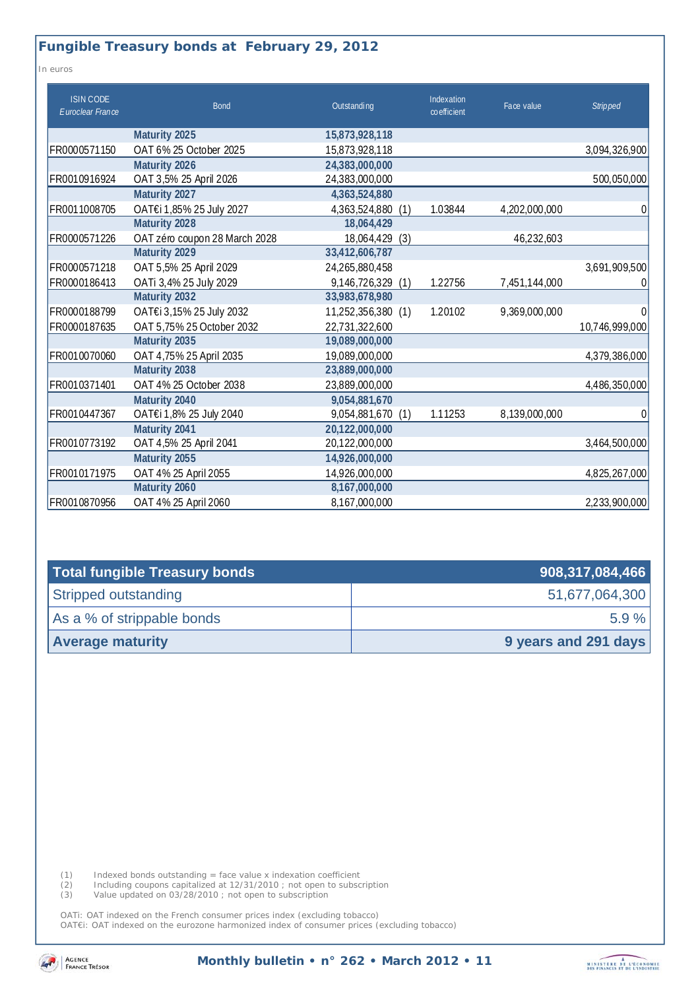### **Fungible Treasury bonds at February 29, 2012**

*In euros* 

| <b>ISIN CODE</b><br>Euroclear France | <b>Bond</b>                   | Outstanding          | Indexation<br>coefficient | Face value    | <b>Stripped</b> |
|--------------------------------------|-------------------------------|----------------------|---------------------------|---------------|-----------------|
|                                      | Maturity 2025                 | 15,873,928,118       |                           |               |                 |
| FR0000571150                         | OAT 6% 25 October 2025        | 15,873,928,118       |                           |               | 3,094,326,900   |
|                                      | Maturity 2026                 | 24,383,000,000       |                           |               |                 |
| FR0010916924                         | OAT 3,5% 25 April 2026        | 24,383,000,000       |                           |               | 500,050,000     |
|                                      | Maturity 2027                 | 4,363,524,880        |                           |               |                 |
| FR0011008705                         | OAT€i 1,85% 25 July 2027      | 4,363,524,880<br>(1) | 1.03844                   | 4,202,000,000 | 0               |
|                                      | Maturity 2028                 | 18,064,429           |                           |               |                 |
| FR0000571226                         | OAT zéro coupon 28 March 2028 | 18,064,429<br>(3)    |                           | 46,232,603    |                 |
|                                      | Maturity 2029                 | 33,412,606,787       |                           |               |                 |
| FR0000571218                         | OAT 5,5% 25 April 2029        | 24,265,880,458       |                           |               | 3,691,909,500   |
| FR0000186413                         | OATi 3,4% 25 July 2029        | 9,146,726,329 (1)    | 1.22756                   | 7,451,144,000 | 0               |
|                                      | Maturity 2032                 | 33,983,678,980       |                           |               |                 |
| FR0000188799                         | OAT€i 3,15% 25 July 2032      | 11,252,356,380 (1)   | 1.20102                   | 9,369,000,000 | $\Omega$        |
| FR0000187635                         | OAT 5,75% 25 October 2032     | 22,731,322,600       |                           |               | 10,746,999,000  |
|                                      | Maturity 2035                 | 19,089,000,000       |                           |               |                 |
| FR0010070060                         | OAT 4,75% 25 April 2035       | 19,089,000,000       |                           |               | 4,379,386,000   |
|                                      | Maturity 2038                 | 23,889,000,000       |                           |               |                 |
| FR0010371401                         | OAT 4% 25 October 2038        | 23,889,000,000       |                           |               | 4,486,350,000   |
|                                      | Maturity 2040                 | 9,054,881,670        |                           |               |                 |
| FR0010447367                         | OAT€i 1,8% 25 July 2040       | 9,054,881,670<br>(1) | 1.11253                   | 8,139,000,000 | $\theta$        |
|                                      | Maturity 2041                 | 20,122,000,000       |                           |               |                 |
| FR0010773192                         | OAT 4,5% 25 April 2041        | 20,122,000,000       |                           |               | 3,464,500,000   |
|                                      | Maturity 2055                 | 14,926,000,000       |                           |               |                 |
| FR0010171975                         | OAT 4% 25 April 2055          | 14,926,000,000       |                           |               | 4,825,267,000   |
|                                      | Maturity 2060                 | 8,167,000,000        |                           |               |                 |
| FR0010870956                         | OAT 4% 25 April 2060          | 8,167,000,000        |                           |               | 2,233,900,000   |

| Total fungible Treasury bonds | 908,317,084,466      |
|-------------------------------|----------------------|
| Stripped outstanding          | 51,677,064,300       |
| As a % of strippable bonds    | $5.9 \%$             |
| <b>Average maturity</b>       | 9 years and 291 days |

(1) Indexed bonds outstanding = face value x indexation coefficient

(2) Including coupons capitalized at 12/31/2010 ; not open to subscription

(3) Value updated on 03/28/2010 ; not open to subscription

OATi: OAT indexed on the French consumer prices index (excluding tobacco) OAT€i: OAT indexed on the eurozone harmonized index of consumer prices (excluding tobacco)

![](_page_10_Picture_8.jpeg)

**Monthly bulletin • n° 262 • March 2012 • 11** 

![](_page_10_Picture_10.jpeg)